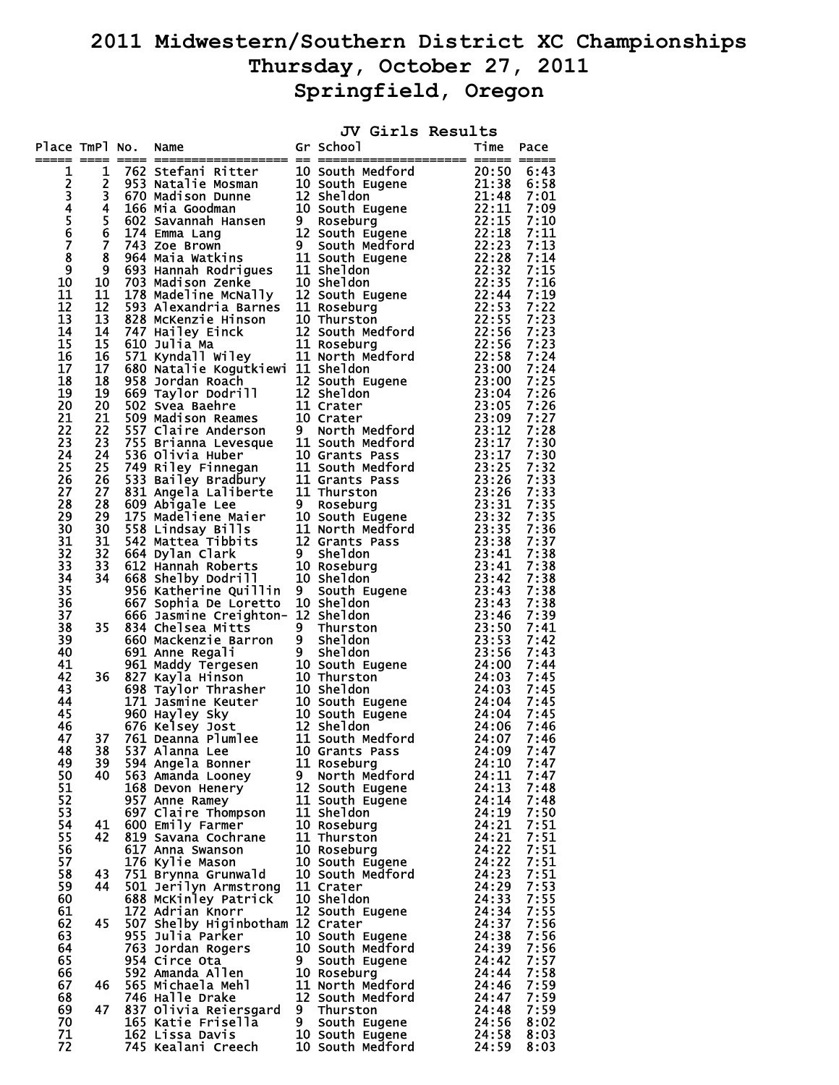## **2011 Midwestern/Southern District XC Championships Thursday, October 27, 2011 Springfield, Oregon**

|             |    |                                                                                                                                                                                                                                                              |    |                             | JV Girls Results |                |              |
|-------------|----|--------------------------------------------------------------------------------------------------------------------------------------------------------------------------------------------------------------------------------------------------------------|----|-----------------------------|------------------|----------------|--------------|
|             |    | Place TmPl No. Name<br>TmP1 No. Name<br>$\frac{1}{12}$ 1972 scribing in School of School in the Maria Case of School in the Pace<br>1972 scribing in School in the Maria Case of School in the School of School in the School in the Maria Case of School in |    | Gr School                   |                  | Time           | Pace         |
| 1           |    |                                                                                                                                                                                                                                                              |    |                             |                  |                |              |
| 2345678     |    |                                                                                                                                                                                                                                                              |    |                             |                  |                |              |
|             |    |                                                                                                                                                                                                                                                              |    |                             |                  |                |              |
|             |    |                                                                                                                                                                                                                                                              |    |                             |                  |                |              |
|             |    |                                                                                                                                                                                                                                                              |    |                             |                  |                |              |
|             |    |                                                                                                                                                                                                                                                              |    |                             |                  |                |              |
|             |    |                                                                                                                                                                                                                                                              |    |                             |                  |                |              |
| $\tilde{9}$ |    |                                                                                                                                                                                                                                                              |    |                             |                  |                |              |
| 10          |    |                                                                                                                                                                                                                                                              |    |                             |                  |                |              |
| 11          |    |                                                                                                                                                                                                                                                              |    |                             |                  |                |              |
| 12          |    |                                                                                                                                                                                                                                                              |    |                             |                  |                |              |
| 13          |    |                                                                                                                                                                                                                                                              |    |                             |                  |                |              |
| 14          |    |                                                                                                                                                                                                                                                              |    |                             |                  |                |              |
| 15          |    |                                                                                                                                                                                                                                                              |    |                             |                  |                |              |
| 16<br>17    |    |                                                                                                                                                                                                                                                              |    |                             |                  |                |              |
| 18          |    |                                                                                                                                                                                                                                                              |    |                             |                  |                |              |
| 19          |    |                                                                                                                                                                                                                                                              |    |                             |                  |                |              |
| 20          |    |                                                                                                                                                                                                                                                              |    |                             |                  |                |              |
| 21          |    |                                                                                                                                                                                                                                                              |    |                             |                  |                |              |
| 22          |    |                                                                                                                                                                                                                                                              |    |                             |                  |                |              |
| 23          |    |                                                                                                                                                                                                                                                              |    |                             |                  |                |              |
| 24          |    |                                                                                                                                                                                                                                                              |    |                             |                  |                |              |
| 25          |    |                                                                                                                                                                                                                                                              |    |                             |                  |                |              |
| 26          |    |                                                                                                                                                                                                                                                              |    |                             |                  |                |              |
| 27<br>28    |    |                                                                                                                                                                                                                                                              |    |                             |                  |                |              |
| 29          |    |                                                                                                                                                                                                                                                              |    |                             |                  |                |              |
| 30          |    |                                                                                                                                                                                                                                                              |    |                             |                  |                |              |
| 31          |    |                                                                                                                                                                                                                                                              |    |                             |                  |                |              |
| 32          |    |                                                                                                                                                                                                                                                              |    |                             |                  |                |              |
| 33          |    |                                                                                                                                                                                                                                                              |    |                             |                  |                |              |
| 34          |    |                                                                                                                                                                                                                                                              |    |                             |                  |                |              |
| 35          |    |                                                                                                                                                                                                                                                              |    |                             |                  |                |              |
| 36          |    |                                                                                                                                                                                                                                                              |    |                             |                  |                |              |
| 37<br>38    |    |                                                                                                                                                                                                                                                              |    |                             |                  |                |              |
| 39          |    |                                                                                                                                                                                                                                                              |    |                             |                  |                |              |
| 40          |    |                                                                                                                                                                                                                                                              |    |                             |                  |                |              |
| 41          |    |                                                                                                                                                                                                                                                              |    |                             |                  |                |              |
| 42          |    |                                                                                                                                                                                                                                                              |    |                             |                  |                |              |
| 43          |    |                                                                                                                                                                                                                                                              |    |                             |                  |                |              |
| 44          |    |                                                                                                                                                                                                                                                              |    |                             |                  |                |              |
| 45<br>46    |    |                                                                                                                                                                                                                                                              |    |                             |                  |                |              |
| 47          |    |                                                                                                                                                                                                                                                              |    |                             |                  |                |              |
| 48          | 38 | 537 Alanna Lee                                                                                                                                                                                                                                               |    | 10 Grants Pass              |                  | 24:09          | 7:47         |
| 49          | 39 | 594 Angela Bonner                                                                                                                                                                                                                                            |    | 11 Roseburg                 |                  | 24:10          | 7:47         |
| 50          | 40 | 563 Amanda Looney                                                                                                                                                                                                                                            | 9  | North Medford               |                  | 24:11          | 7:47         |
| 51          |    | 168 Devon Henery                                                                                                                                                                                                                                             |    | 12 South Eugene             |                  | 24:13          | 7:48         |
| 52          |    | 957 Anne Ramey                                                                                                                                                                                                                                               |    | 11 South Eugene             |                  | 24:14          | 7:48         |
| 53          |    | 697 Claire Thompson                                                                                                                                                                                                                                          |    | 11 Sheldon                  |                  | 24:19          | 7:50         |
| 54          | 41 | 600 Emily Farmer                                                                                                                                                                                                                                             |    | 10 Roseburg<br>11 Thurston  |                  | 24:21<br>24:21 | 7:51         |
| 55<br>56    | 42 | 819 Savana Cochrane<br>617 Anna Swanson                                                                                                                                                                                                                      |    | 10 Roseburg                 |                  | 24:22          | 7:51<br>7:51 |
| 57          |    | 176 Kylie Mason                                                                                                                                                                                                                                              |    | 10 South Eugene             |                  | 24:22          | 7:51         |
| 58          | 43 | 751 Brynna Grunwald                                                                                                                                                                                                                                          |    | 10 South Medford            |                  | 24:23          | 7:51         |
| 59          | 44 | 501 Jerilyn Armstrong                                                                                                                                                                                                                                        |    | 11 Crater                   |                  | 24:29          | 7:53         |
| 60          |    | 688 McKinley Patrick                                                                                                                                                                                                                                         |    | 10 Sheldon                  |                  | 24:33          | 7:55         |
| 61          |    | 172 Adrian Knorr                                                                                                                                                                                                                                             |    | 12 South Eugene             |                  | 24:34          | 7:55         |
| 62          | 45 | 507 Shelby Higinbotham 12 Crater                                                                                                                                                                                                                             |    |                             |                  | 24:37          | 7:56         |
| 63          |    | 955 Julia Parker                                                                                                                                                                                                                                             |    | 10 South Eugene             |                  | 24:38          | 7:56         |
| 64          |    | 763 Jordan Rogers                                                                                                                                                                                                                                            |    | 10 South Medford            |                  | 24:39          | 7:56         |
| 65<br>66    |    | 954 Circe Ota<br>592 Amanda Allen                                                                                                                                                                                                                            | 9. | South Eugene<br>10 Roseburg |                  | 24:42<br>24:44 | 7:57<br>7:58 |
| 67          | 46 | 565 Michaela Mehl                                                                                                                                                                                                                                            |    | 11 North Medford            |                  | 24:46          | 7:59         |
| 68          |    | 746 Halle Drake                                                                                                                                                                                                                                              |    | 12 South Medford            |                  | 24:47          | 7:59         |
| 69          | 47 | 837 Olivia Reiersgard                                                                                                                                                                                                                                        | 9  | Thurston                    |                  | 24:48          | 7:59         |
| 70          |    | 165 Katie Frisella                                                                                                                                                                                                                                           | 9  | South Eugene                |                  | 24:56          | 8:02         |
| 71          |    | 162 Lissa Davis                                                                                                                                                                                                                                              |    | 10 South Eugene             |                  | 24:58          | 8:03         |
| 72          |    | 745 Kealani Creech                                                                                                                                                                                                                                           |    | 10 South Medford            |                  | 24:59          | 8:03         |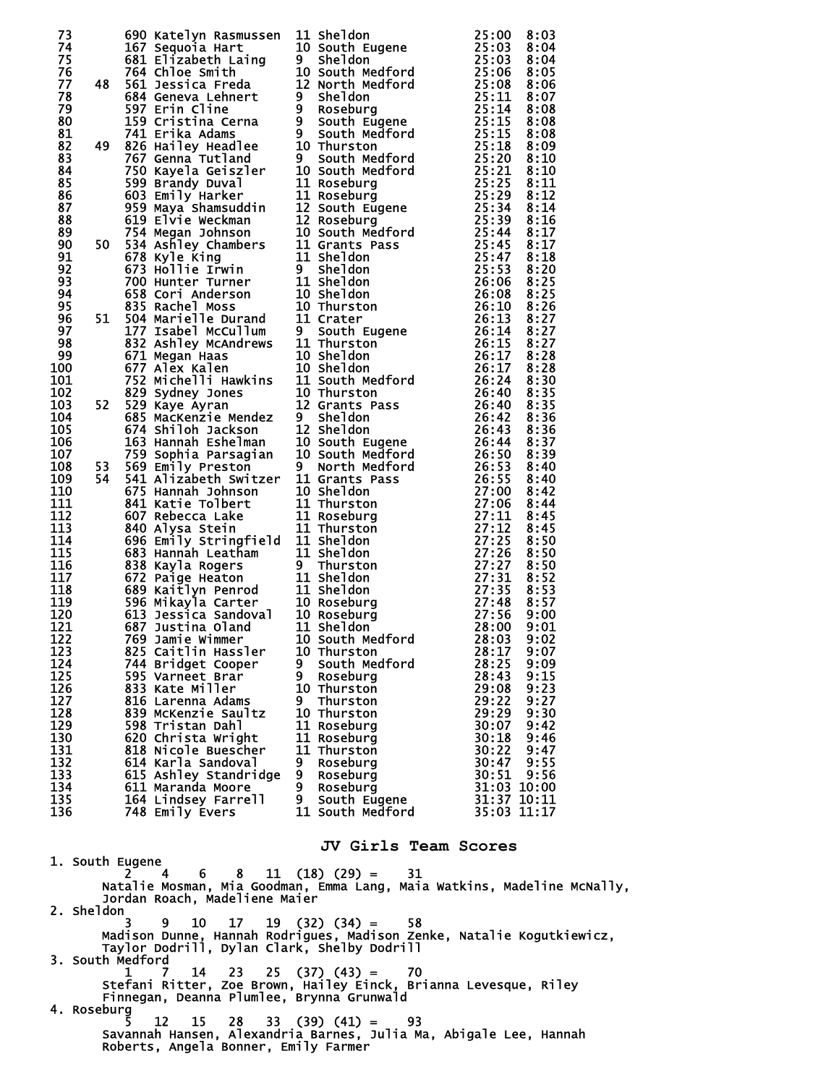| 73         |  |                                           |         | 500 Katelyn Rassware, 11 Sheldon<br>167 Sequenta Hart 10 South Eugene 25:00 8:03<br>167 Sequenta Hart 10 South Heugene 25:00 8:04<br>1611 Elizabeth Laing 9 Sheldon<br>1764 Chine Smith Hart 10 South Mediford<br>1764 Chine Smith 10 South |                                |  |
|------------|--|-------------------------------------------|---------|---------------------------------------------------------------------------------------------------------------------------------------------------------------------------------------------------------------------------------------------|--------------------------------|--|
| 74         |  |                                           |         |                                                                                                                                                                                                                                             |                                |  |
| 75<br>76   |  |                                           |         |                                                                                                                                                                                                                                             |                                |  |
| 77         |  |                                           |         |                                                                                                                                                                                                                                             |                                |  |
| 78         |  |                                           |         |                                                                                                                                                                                                                                             |                                |  |
| 79         |  |                                           |         |                                                                                                                                                                                                                                             |                                |  |
| 80         |  |                                           |         |                                                                                                                                                                                                                                             |                                |  |
| 81<br>82   |  |                                           |         |                                                                                                                                                                                                                                             |                                |  |
| 83         |  |                                           |         |                                                                                                                                                                                                                                             |                                |  |
| 84         |  |                                           |         |                                                                                                                                                                                                                                             |                                |  |
| 85         |  |                                           |         |                                                                                                                                                                                                                                             |                                |  |
| 86         |  |                                           |         |                                                                                                                                                                                                                                             |                                |  |
| 87<br>88   |  |                                           |         |                                                                                                                                                                                                                                             |                                |  |
| 89         |  |                                           |         |                                                                                                                                                                                                                                             |                                |  |
| 90         |  |                                           |         |                                                                                                                                                                                                                                             |                                |  |
| 91         |  |                                           |         |                                                                                                                                                                                                                                             |                                |  |
| 92         |  |                                           |         |                                                                                                                                                                                                                                             |                                |  |
| 93         |  |                                           |         |                                                                                                                                                                                                                                             |                                |  |
| 94<br>95   |  |                                           |         |                                                                                                                                                                                                                                             |                                |  |
| 96         |  |                                           |         |                                                                                                                                                                                                                                             |                                |  |
| 97         |  |                                           |         |                                                                                                                                                                                                                                             |                                |  |
| 98         |  |                                           |         |                                                                                                                                                                                                                                             |                                |  |
| 99         |  |                                           |         |                                                                                                                                                                                                                                             |                                |  |
| 100<br>101 |  |                                           |         |                                                                                                                                                                                                                                             |                                |  |
| 102        |  |                                           |         |                                                                                                                                                                                                                                             |                                |  |
| 103        |  |                                           |         |                                                                                                                                                                                                                                             |                                |  |
| 104        |  |                                           |         |                                                                                                                                                                                                                                             |                                |  |
| 105        |  |                                           |         |                                                                                                                                                                                                                                             |                                |  |
| 106<br>107 |  |                                           |         |                                                                                                                                                                                                                                             |                                |  |
| 108        |  |                                           |         |                                                                                                                                                                                                                                             |                                |  |
| 109        |  |                                           |         |                                                                                                                                                                                                                                             |                                |  |
| 110        |  |                                           |         |                                                                                                                                                                                                                                             |                                |  |
| 111<br>112 |  |                                           |         |                                                                                                                                                                                                                                             |                                |  |
| 113        |  |                                           |         |                                                                                                                                                                                                                                             |                                |  |
| 114        |  |                                           |         |                                                                                                                                                                                                                                             |                                |  |
| 115        |  |                                           |         |                                                                                                                                                                                                                                             |                                |  |
| 116        |  |                                           |         |                                                                                                                                                                                                                                             |                                |  |
| 117        |  |                                           |         |                                                                                                                                                                                                                                             |                                |  |
| 118<br>119 |  |                                           |         |                                                                                                                                                                                                                                             |                                |  |
| 120        |  |                                           |         |                                                                                                                                                                                                                                             |                                |  |
| 121        |  |                                           |         |                                                                                                                                                                                                                                             |                                |  |
| 122        |  |                                           |         |                                                                                                                                                                                                                                             |                                |  |
| 123        |  | 825 Caitlin Hassler                       |         | 10 Thurston                                                                                                                                                                                                                                 | 28:17<br>9:07                  |  |
| 124<br>125 |  | 744 Bridget Cooper<br>595 Varneet Brar    | 9.<br>9 | South Medford<br>Roseburg                                                                                                                                                                                                                   | 28:25<br>9:09<br>28:43<br>9:15 |  |
| 126        |  | 833 Kate Miller                           |         | 10 Thurston                                                                                                                                                                                                                                 | 9:23<br>29:08                  |  |
| 127        |  | 816 Larenna Adams                         | 9       | Thurston                                                                                                                                                                                                                                    | 29:22<br>9:27                  |  |
| 128        |  | 839 McKenzie Saultz                       |         | 10 Thurston                                                                                                                                                                                                                                 | 29:29<br>9:30                  |  |
| 129        |  | 598 Tristan Dahl                          |         | 11 Roseburg                                                                                                                                                                                                                                 | 30:07<br>9:42                  |  |
| 130<br>131 |  | 620 Christa Wright<br>818 Nicole Buescher |         | 11 Roseburg<br>11 Thurston                                                                                                                                                                                                                  | 30:18<br>9:46<br>30:22<br>9:47 |  |
| 132        |  | 614 Karla Sandoval                        | 9.      | Roseburg                                                                                                                                                                                                                                    | 30:47<br>9:55                  |  |
| 133        |  | 615 Ashley Standridge                     |         | 9 Roseburg                                                                                                                                                                                                                                  | 30:51<br>9:56                  |  |
| 134        |  | 611 Maranda Moore                         | 9       | Roseburg                                                                                                                                                                                                                                    | 31:03 10:00                    |  |
| 135<br>136 |  | 164 Lindsey Farrell<br>748 Emily Evers    | 9       | South Eugene<br>11 South Medford                                                                                                                                                                                                            | 31:37 10:11<br>35:03 11:17     |  |
|            |  |                                           |         |                                                                                                                                                                                                                                             |                                |  |
|            |  |                                           |         | JV Girls Team Scores                                                                                                                                                                                                                        |                                |  |

 1. South Eugene 2 4 6 8 11 (18) (29) = 31 Natalie Mosman, Mia Goodman, Emma Lang, Maia Watkins, Madeline McNally, Jordan Roach, Madeliene Maier 2. Sheldon<sub>3</sub> 3 9 10 17 19 (32) (34) = 58 Madison Dunne, Hannah Rodrigues, Madison Zenke, Natalie Kogutkiewicz, Taylor Dodrill, Dylan Clark, Shelby Dodrill 3. South Medford 1 7 14 23 25 (37) (43) = 70 Stefani Ritter, Zoe Brown, Hailey Einck, Brianna Levesque, Riley Finnegan, Deanna Plumlee, Brynna Grunwald 4. Roseburg<br>5 5 12 15 28 33 (39) (41) = 93 Savannah Hansen, Alexandria Barnes, Julia Ma, Abigale Lee, Hannah Roberts, Angela Bonner, Emily Farmer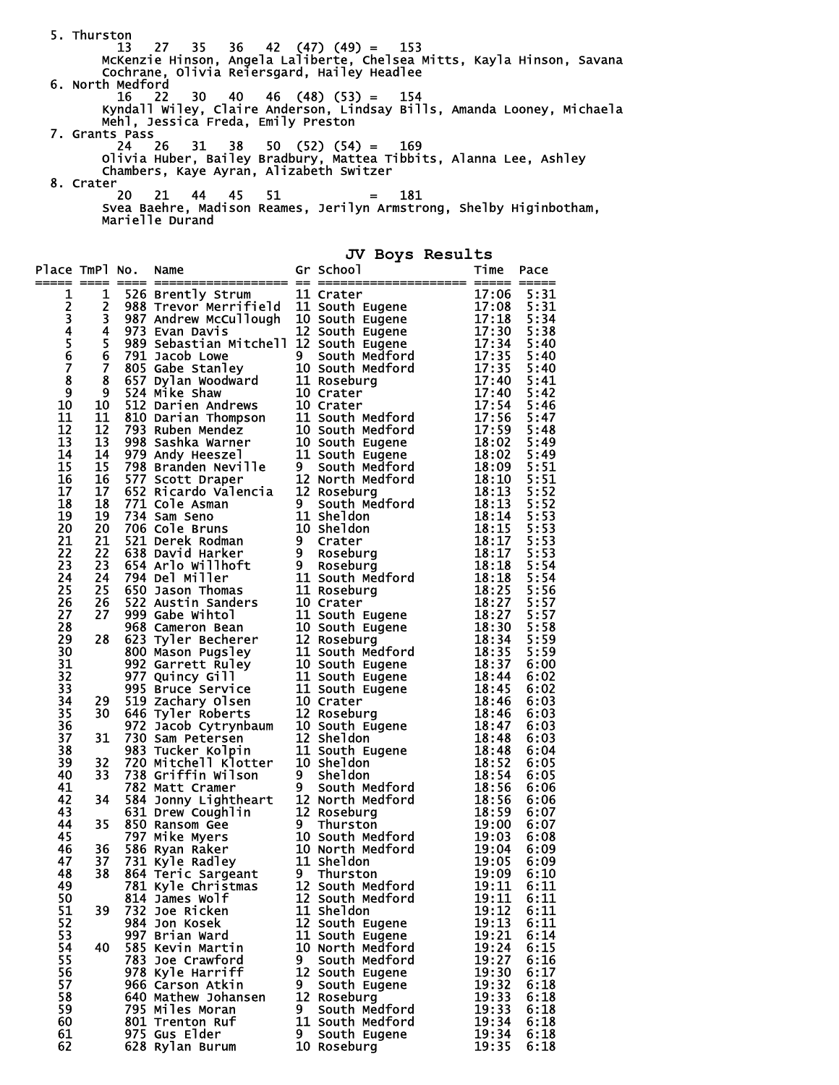5. Thurston 13 27 35 36 42 (47) (49) = 153 McKenzie Hinson, Angela Laliberte, Chelsea Mitts, Kayla Hinson, Savana Cochrane, Olivia Reiersgard, Hailey Headlee 6. North Medford 16 22 30 40 46 (48) (53) = 154 Kyndall Wiley, Claire Anderson, Lindsay Bills, Amanda Looney, Michaela Mehl, Jessica Freda, Emily Preston 7. Grants Pass 24 26 31 38 50 (52) (54) = 169 Olivia Huber, Bailey Bradbury, Mattea Tibbits, Alanna Lee, Ashley Chambers, Kaye Ayran, Alizabeth Switzer 8. Crater 20 21 44 45 51 = 181 Svea Baehre, Madison Reames, Jerilyn Armstrong, Shelby Higinbotham, Marielle Durand **JV Boys Results** 

| Place TmPl No.             | === ====                                  |                     |    | No. Name $\overline{sr}$ School $\overline{r}$ Time Packard School $\overline{r}$<br>No. Name of School in Crater II Crater II Crater II Crater II Crater North Bureau of State Model and the state of the state of the state of the state of the state of the state of the state of the state of the state of the |                | Pace<br>$=$  |
|----------------------------|-------------------------------------------|---------------------|----|--------------------------------------------------------------------------------------------------------------------------------------------------------------------------------------------------------------------------------------------------------------------------------------------------------------------|----------------|--------------|
| 1                          | 1                                         |                     |    |                                                                                                                                                                                                                                                                                                                    |                |              |
| 234567                     | $\overline{\mathbf{c}}$                   |                     |    |                                                                                                                                                                                                                                                                                                                    |                |              |
|                            | 3                                         |                     |    |                                                                                                                                                                                                                                                                                                                    |                |              |
|                            | 4                                         |                     |    |                                                                                                                                                                                                                                                                                                                    |                |              |
|                            | 5                                         |                     |    |                                                                                                                                                                                                                                                                                                                    |                |              |
|                            | $\bar{6}$                                 |                     |    |                                                                                                                                                                                                                                                                                                                    |                |              |
|                            | $\overline{\mathbf{z}}$<br>$\overline{8}$ |                     |    |                                                                                                                                                                                                                                                                                                                    |                |              |
| $\bar{\mathbf{8}}$<br>9    | 9                                         |                     |    |                                                                                                                                                                                                                                                                                                                    |                |              |
| 10                         | 10                                        |                     |    |                                                                                                                                                                                                                                                                                                                    |                |              |
| 11                         | 11                                        |                     |    |                                                                                                                                                                                                                                                                                                                    |                |              |
| 12                         | 12                                        |                     |    |                                                                                                                                                                                                                                                                                                                    |                |              |
| 13                         | 13                                        |                     |    |                                                                                                                                                                                                                                                                                                                    |                |              |
| 14                         | 14                                        |                     |    |                                                                                                                                                                                                                                                                                                                    |                |              |
| 15                         | 15                                        |                     |    |                                                                                                                                                                                                                                                                                                                    |                |              |
| 16                         | 16                                        |                     |    |                                                                                                                                                                                                                                                                                                                    |                |              |
| $\overline{17}$            | 17                                        |                     |    |                                                                                                                                                                                                                                                                                                                    |                |              |
| 18                         | 18                                        |                     |    |                                                                                                                                                                                                                                                                                                                    |                |              |
| $\overline{1}9$            | 19                                        |                     |    |                                                                                                                                                                                                                                                                                                                    |                |              |
| 20                         | 20                                        |                     |    |                                                                                                                                                                                                                                                                                                                    |                |              |
| 21<br>22                   | 21<br>22                                  |                     |    |                                                                                                                                                                                                                                                                                                                    |                |              |
| $\overline{2}\overline{3}$ | 23                                        |                     |    |                                                                                                                                                                                                                                                                                                                    |                |              |
| 24                         | 24                                        |                     |    |                                                                                                                                                                                                                                                                                                                    |                |              |
| 25                         | 25                                        |                     |    |                                                                                                                                                                                                                                                                                                                    |                |              |
| 26                         | 26                                        |                     |    |                                                                                                                                                                                                                                                                                                                    |                |              |
| 27                         | 27                                        |                     |    |                                                                                                                                                                                                                                                                                                                    |                |              |
| 28                         |                                           |                     |    |                                                                                                                                                                                                                                                                                                                    |                |              |
| 29                         | 28                                        |                     |    |                                                                                                                                                                                                                                                                                                                    |                |              |
| 30                         |                                           |                     |    |                                                                                                                                                                                                                                                                                                                    |                |              |
| 31                         |                                           |                     |    |                                                                                                                                                                                                                                                                                                                    |                |              |
| 32                         |                                           |                     |    |                                                                                                                                                                                                                                                                                                                    |                |              |
| 33                         |                                           |                     |    |                                                                                                                                                                                                                                                                                                                    |                |              |
| 34<br>35                   | 29<br>30                                  |                     |    |                                                                                                                                                                                                                                                                                                                    |                |              |
| 36                         |                                           |                     |    |                                                                                                                                                                                                                                                                                                                    |                |              |
| 37                         | 31                                        |                     |    |                                                                                                                                                                                                                                                                                                                    |                |              |
| 38                         |                                           |                     |    |                                                                                                                                                                                                                                                                                                                    |                |              |
| 39                         | 32                                        |                     |    |                                                                                                                                                                                                                                                                                                                    |                |              |
| 40                         | 33                                        |                     |    |                                                                                                                                                                                                                                                                                                                    |                |              |
| 41                         |                                           |                     |    |                                                                                                                                                                                                                                                                                                                    |                |              |
| 42                         | 34                                        |                     |    |                                                                                                                                                                                                                                                                                                                    |                |              |
| 43                         |                                           |                     |    |                                                                                                                                                                                                                                                                                                                    |                |              |
| 44                         | 35                                        |                     |    |                                                                                                                                                                                                                                                                                                                    |                |              |
| 45                         |                                           |                     |    |                                                                                                                                                                                                                                                                                                                    |                |              |
| 46<br>47                   | 36<br>37                                  |                     |    |                                                                                                                                                                                                                                                                                                                    |                |              |
| 48                         | 38                                        |                     |    |                                                                                                                                                                                                                                                                                                                    |                |              |
| 49                         |                                           | 781 Kyle Christmas  |    | 12 South Medford                                                                                                                                                                                                                                                                                                   | 19:11          | 6:11         |
| 50                         |                                           | 814 James Wolf      |    | 12 South Medford                                                                                                                                                                                                                                                                                                   | 19:11          | 6:11         |
| 51                         | 39                                        | 732 Joe Ricken      |    | 11 Sheldon                                                                                                                                                                                                                                                                                                         | 19:12          | 6:11         |
| 52                         |                                           | 984 Jon Kosek       |    | 12 South Eugene                                                                                                                                                                                                                                                                                                    | 19:13          | 6:11         |
| 53                         |                                           | 997 Brian Ward      |    | 11 South Eugene                                                                                                                                                                                                                                                                                                    | 19:21          | 6:14         |
| 54                         | 40                                        | 585 Kevin Martin    |    | 10 North Medford                                                                                                                                                                                                                                                                                                   | 19:24          | 6:15         |
| 55                         |                                           | 783 Joe Crawford    | 9  | South Medford                                                                                                                                                                                                                                                                                                      | 19:27          | 6:16         |
| 56                         |                                           | 978 Kyle Harriff    |    | 12 South Eugene                                                                                                                                                                                                                                                                                                    | 19:30          | 6:17         |
| 57                         |                                           | 966 Carson Atkin    | 9. | South Eugene                                                                                                                                                                                                                                                                                                       | 19:32          | 6:18         |
| 58                         |                                           | 640 Mathew Johansen |    | 12 Roseburg                                                                                                                                                                                                                                                                                                        | 19:33          | 6:18         |
| 59                         |                                           | 795 Miles Moran     | 9. | South Medford                                                                                                                                                                                                                                                                                                      | 19:33          | 6:18         |
| 60                         |                                           | 801 Trenton Ruf     |    | 11 South Medford                                                                                                                                                                                                                                                                                                   | 19:34          | 6:18         |
| 61<br>62                   |                                           | 975 Gus Elder       | 9. | South Eugene<br>10 Roseburg                                                                                                                                                                                                                                                                                        | 19:34<br>19:35 | 6:18<br>6:18 |
|                            |                                           | 628 Rylan Burum     |    |                                                                                                                                                                                                                                                                                                                    |                |              |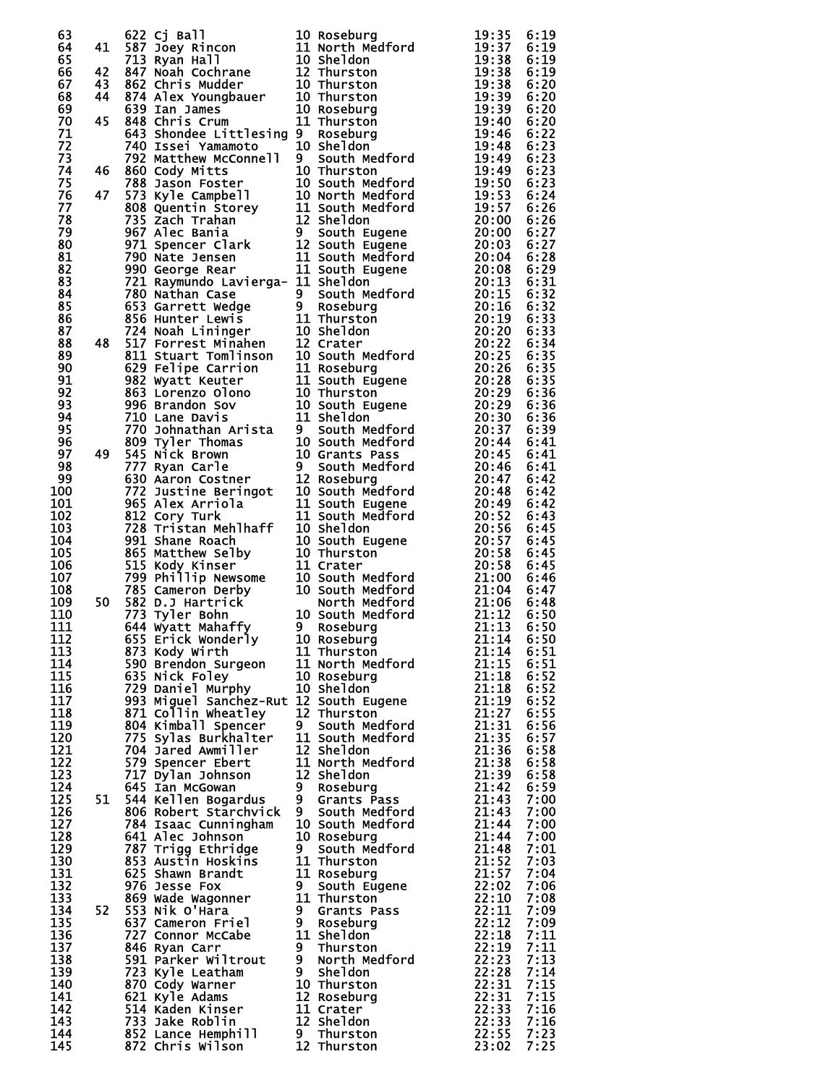|  |  | 632<br>1922 - The Maria Particular Properties of the Maria Particular Particular Particular Particular Particular Particular Particular Particular Particular Particular Particular Particular Particular Particular Particular |  |
|--|--|---------------------------------------------------------------------------------------------------------------------------------------------------------------------------------------------------------------------------------|--|
|  |  |                                                                                                                                                                                                                                 |  |
|  |  |                                                                                                                                                                                                                                 |  |
|  |  |                                                                                                                                                                                                                                 |  |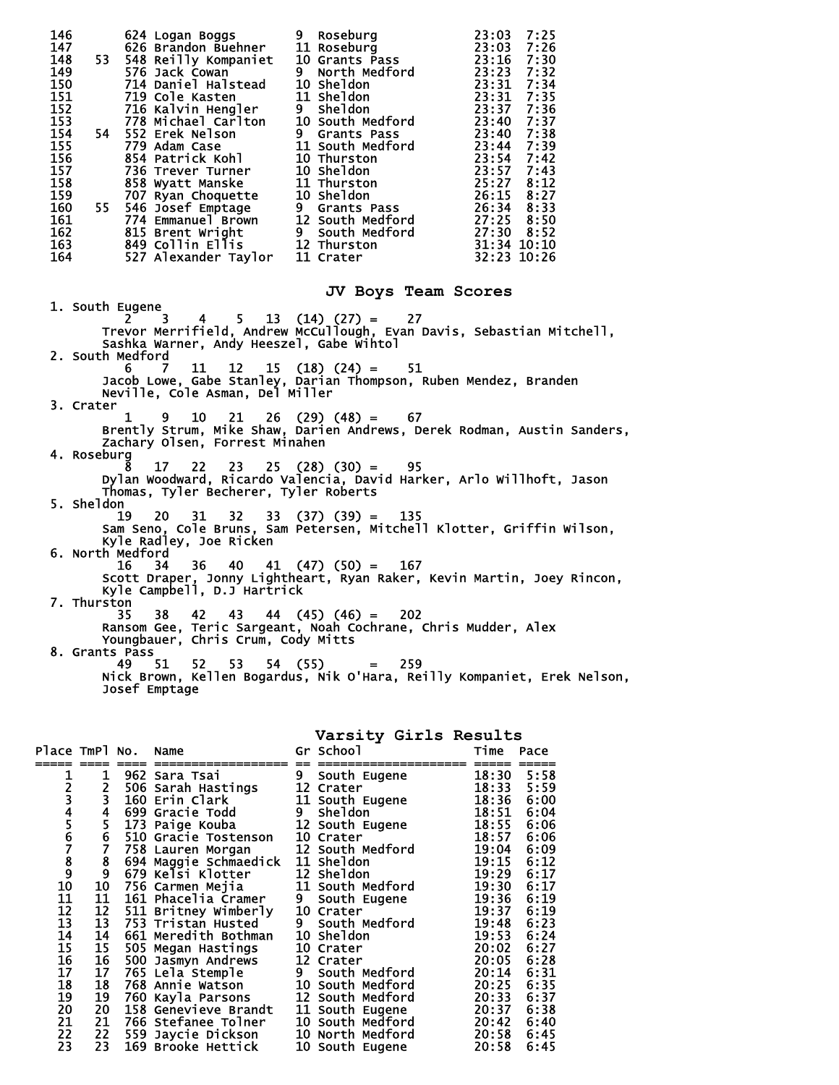| 146<br>147<br>148<br>149<br>150<br>151 | 624 Logan Boggs<br>626 Brandon Buehner<br>548 Reilly Kompaniet<br>576 Jack Cowan<br>53.<br>576 Jack Cowan<br>714 Daniel Halstead<br>719 Cole Kasten                                                                                                 | 9 Roseburg<br>9 Roseburg<br>11 Roseburg<br>10 Grants Pass<br>9 North Medford<br>10 Sheldon<br>11 Sheldon<br>9 Sheldon      | 23:03<br>7:25<br>23:03<br>7:26<br>23:16<br>7:30<br>23:23<br>7:32<br>23:31<br>7:34<br>23:31<br>7:35 |
|----------------------------------------|-----------------------------------------------------------------------------------------------------------------------------------------------------------------------------------------------------------------------------------------------------|----------------------------------------------------------------------------------------------------------------------------|----------------------------------------------------------------------------------------------------|
| 152<br>153<br>154<br>155<br>156        | <b>719 Cole Kasten<br/>716 Kalvin Hengler<br/>778 Michael Carlton<br/>552 Erek Nelson<br/>779 Adam Case<br/>854 Patrick Kohl</b><br>54 -<br>$854$ Patrick Kohl                                                                                      | <b>9 Sneidon<br/>10 South Medford<br/>9 Grants Pass<br/>11 South Medford<br/>10 Sheldon<br/>11 Thurston<br/>10 Sheldon</b> | 23:37<br>7:36<br>23:40 7:37<br>23:40 7:38<br>23:44 7:39<br>23:54<br>7:42                           |
| 157<br>158<br>159<br>160<br>161        | 854 Patrick Kohl 10 Thurston<br>736 Trever Turner 10 Sheldon<br>858 Wyatt Manske 11 Thurston<br>707 Ryan Choquette 10 Sheldon<br>55 546 Josef Emptage 9 Grants Pass<br>774 Emmanuel Brown 12 South Medford<br>815 Brent Wright 9 South Medford<br>8 |                                                                                                                            | 23:57<br>7:43<br>25:27<br>8:12<br>26:15 8:27<br>26:34 8:33<br>27:25 8:50                           |
| 162<br>163<br>164                      |                                                                                                                                                                                                                                                     |                                                                                                                            | 27:30 8:52<br>31:34 10:10<br>32:23 10:26                                                           |
|                                        |                                                                                                                                                                                                                                                     | JV Boys Team Scores                                                                                                        |                                                                                                    |
|                                        | 1. South Eugene<br>$\mathbf{3}$                                                                                                                                                                                                                     | $5 \quad 13 \quad (14) \quad (27) = \quad 27$                                                                              |                                                                                                    |
|                                        | 4<br>Trevor Merrifield, Andrew McCullough, Evan Davis, Sebastian Mitchell,<br>Sashka Warner, Andy Heeszel, Gabe Wintol<br>2. South Medford                                                                                                          |                                                                                                                            |                                                                                                    |
|                                        | 7<br>11 —<br>6<br>Jacob Lowe, Gabe Stanley, Darian Thompson, Ruben Mendez, Branden<br>Neville, Cole Asman, Del Miller                                                                                                                               | $12 \t15 \t(18) \t(24) =$<br>51                                                                                            |                                                                                                    |
| 3. Crater                              | 10 —<br>21<br>1<br>9<br>Zachary Olsen, Forrest Minahen                                                                                                                                                                                              | $26$ (29) (48) = 67                                                                                                        | Brently Strum, Mike Shaw, Darien Andrews, Derek Rodman, Austin Sanders,                            |
|                                        | 4. Roseburg<br>17                                                                                                                                                                                                                                   |                                                                                                                            |                                                                                                    |
| 5. Sheldon                             | 22<br>Dylan Woodward, Ricardo Valencia, David Harker, Arlo Willhoft, Jason<br>Thomas, Tyler Becherer, Tyler Roberts                                                                                                                                 | $23$ $25$ $(28)$ $(30) = 95$                                                                                               |                                                                                                    |
|                                        | 19<br>20<br>Sam Seno, Cole Bruns, Sam Petersen, Mitchell Klotter, Griffin Wilson,<br>Kyle Radley, Joe Ricken                                                                                                                                        | $31 \quad 32 \quad 33 \quad (37) \quad (39) = 135$                                                                         |                                                                                                    |
|                                        | 6. North Medford<br>16<br>34                                                                                                                                                                                                                        | $36 \quad 40 \quad 41 \quad (47) \quad (50) = 167$                                                                         | Scott Draper, Jonny Lightheart, Ryan Raker, Kevin Martin, Joey Rincon,                             |
|                                        | Kyle Campbell, D.J Hartrick<br>7. Thurston<br>42<br>35<br>38.                                                                                                                                                                                       | 43 44 (45) (46) = $202$                                                                                                    |                                                                                                    |
|                                        | Ransom Gee, Teric Sargeant, Noah Cochrane, Chris Mudder, Alex<br>Youngbauer, Chris Crum, Cody Mitts<br>8. Grants Pass<br>51<br>53<br>49<br>52 —                                                                                                     | $54(55) = 259$                                                                                                             |                                                                                                    |
|                                        | Josef Emptage                                                                                                                                                                                                                                       |                                                                                                                            | Nick Brown, Kellen Bogardus, Nik O'Hara, Reilly Kompaniet, Erek Nelson,                            |

## **Varsity Girls Results**

| Place TmPl No.  |                                                   | Name                  |                | Gr School        | Time  | Pace |
|-----------------|---------------------------------------------------|-----------------------|----------------|------------------|-------|------|
|                 |                                                   |                       |                |                  |       |      |
|                 | 1                                                 | 962 Sara Tsai         | 9              | South Eugene     | 18:30 | 5:58 |
|                 |                                                   | 506 Sarah Hastings    |                | 12 Crater        | 18:33 | 5:59 |
| 1<br>2<br>3     | $\frac{2}{3}$                                     | 160 Erin Clark        |                | 11 South Eugene  | 18:36 | 6:00 |
|                 |                                                   | 699 Gracie Todd       | 9              | <b>Sheldon</b>   | 18:51 | 6:04 |
|                 | $rac{4}{5}$                                       | 173 Paige Kouba       |                | 12 South Eugene  | 18:55 | 6:06 |
|                 |                                                   | 510 Gracie Tostenson  |                | 10 Crater        | 18:57 | 6:06 |
|                 | $\frac{6}{7}$                                     | 758 Lauren Morgan     |                | 12 South Medford | 19:04 | 6:09 |
|                 |                                                   | 694 Maggie Schmaedick |                | 11 Sheldon       | 19:15 | 6:12 |
|                 |                                                   | 679 Kelsi Klotter     |                | 12 Sheldon       | 19:29 | 6:17 |
| 45678910        | $\begin{smallmatrix} 8\ 9\ 10\ \end{smallmatrix}$ | 756 Carmen Mejia      |                | 11 South Medford | 19:30 | 6:17 |
| 11              | 11                                                | 161 Phacelia Cramer   | 9 <sup>°</sup> | South Eugene     | 19:36 | 6:19 |
| 12              | 12                                                | 511 Britney Wimberly  |                | 10 Crater        | 19:37 | 6:19 |
| $\overline{13}$ | 13                                                | 753 Tristan Husted    | 9              | South Medford    | 19:48 | 6:23 |
| 14              | 14                                                | 661 Meredith Bothman  |                | 10 Sheldon       | 19:53 | 6:24 |
| 15              | 15                                                | 505 Megan Hastings    |                | 10 Crater        | 20:02 | 6:27 |
| 16              | 16                                                | 500 Jasmyn Andrews    |                | 12 Crater        | 20:05 | 6:28 |
| 17              | 17                                                | 765 Lela Stemple      |                | 9 South Medford  | 20:14 | 6:31 |
| 18              | 18                                                | 768 Annie Watson      |                | 10 South Medford | 20:25 | 6:35 |
| 19              | 19                                                | 760 Kayla Parsons     |                | 12 South Medford | 20:33 | 6:37 |
| 20              | 20                                                | 158 Genevieve Brandt  |                | 11 South Eugene  | 20:37 | 6:38 |
| 21              | 21                                                | 766 Stefanee Tolner   |                | 10 South Medford | 20:42 | 6:40 |
| 22              | 22                                                | 559 Jaycie Dickson    |                | 10 North Medford | 20:58 | 6:45 |
| 23              | 23                                                | 169 Brooke Hettick    |                | 10 South Eugene  | 20:58 | 6:45 |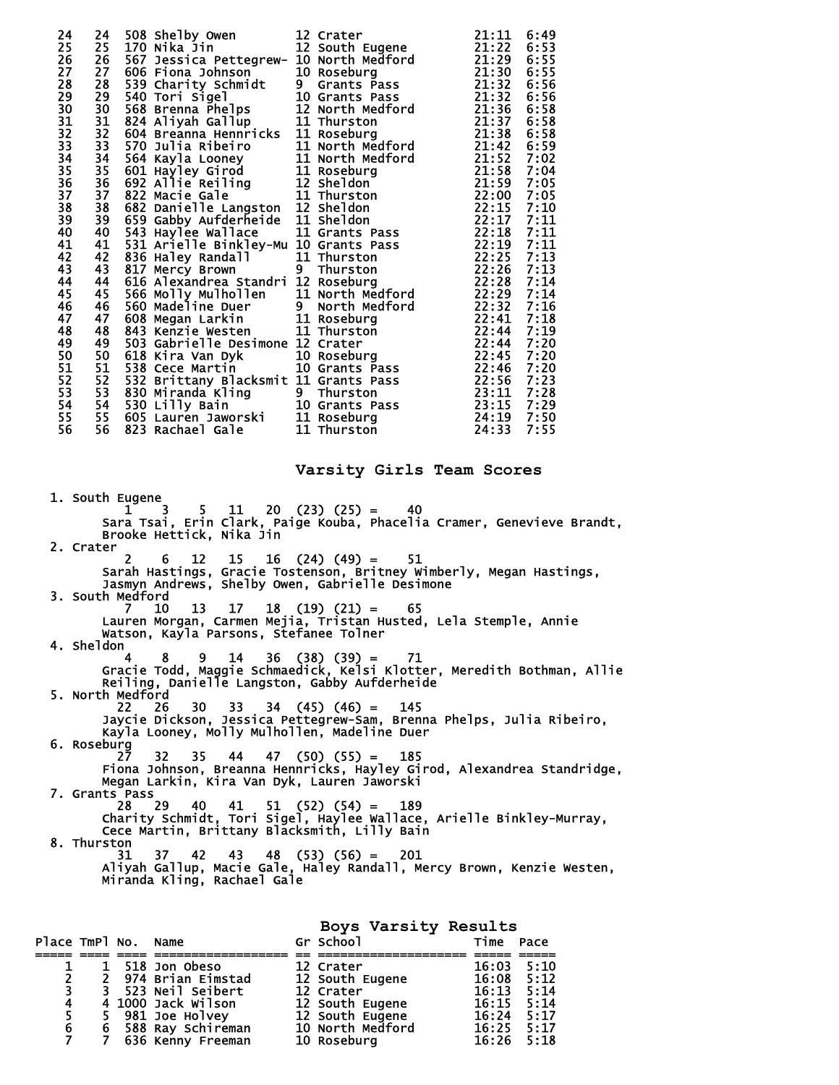| 24<br>25<br>26<br>27<br>28<br>29<br>30<br>31<br>32<br>33<br>34<br>$\overline{3}5$<br>$\overline{36}$<br>37<br>38<br>39<br>40<br>41<br>42<br>43<br>44<br>45<br>46<br>47<br>48<br>49<br>50<br>51<br>$\overline{52}$<br>53<br>54<br>55<br>56 |                                        | 24 508 Shelby Owen 12 Crater and 21:11 6:49<br>25 170 Nika Jin ettegrew 12 South Eugene 21:121 6:49<br>25 167 Jessica Pettegrew 10 Norschurg<br>27 8006 Fiona Johnson 10 Norschurg<br>27 8006 Fiona Johnson 10 Norschurg<br>27 8006 Fio |  |
|-------------------------------------------------------------------------------------------------------------------------------------------------------------------------------------------------------------------------------------------|----------------------------------------|-----------------------------------------------------------------------------------------------------------------------------------------------------------------------------------------------------------------------------------------|--|
|                                                                                                                                                                                                                                           |                                        | Varsity Girls Team Scores                                                                                                                                                                                                               |  |
| 1. South Eugene                                                                                                                                                                                                                           | Brooke Hettick, Nika jin               | h Eugene<br>1 1 3 5 11 20 (23) (25) =   40<br>Sara Tsai, Erin Clark, Paige Kouba, Phacelia Cramer, Genevieve Brandt,                                                                                                                    |  |
| 2. Crater<br>$2^{\circ}$                                                                                                                                                                                                                  |                                        | 6 12 15 16 (24) (49) = $51$                                                                                                                                                                                                             |  |
| 3. South Medford                                                                                                                                                                                                                          |                                        | Sarah Hastings, Gracie Tostenson, Britney Wimberly, Megan Hastings,<br>Jasmyn Andrews, Shelby Owen, Gabrielle Desimone                                                                                                                  |  |
| - 10<br>7.                                                                                                                                                                                                                                | Watson, Kayla Parsons, Stefanee Tolner | $13 \quad 17 \quad 18 \quad (19) \quad (21) = \quad 65$<br>Lauren Morgan, Carmen Mejia, Tristan Husted, Lela Stemple, Annie                                                                                                             |  |
| 4. Sheldon                                                                                                                                                                                                                                |                                        | 4 8 9 14 36 (38) (39) = 71<br>Gracie Todd, Maggie Schmaedick, Kelsi Klotter, Meredith Bothman, Allie                                                                                                                                    |  |
| 5. North Medford<br>22 26                                                                                                                                                                                                                 | 30 -                                   | Reiling, Danielle Langston, Gabby Aufderheide<br>$33 \quad 34 \quad (45) \quad (46) = 145$                                                                                                                                              |  |
| 6. Roseburg<br>27.<br>32                                                                                                                                                                                                                  |                                        | Jaycie Dickson, Jessica Pettegrew-Sam, Brenna Phelps, Julia Ribeiro,<br>Kayla Looney, Molly Mulhollen, Madeline Duer<br>$35 \quad 44 \quad 47 \quad (50) \quad (55) = 185$                                                              |  |
| 7. Grants Pass                                                                                                                                                                                                                            |                                        | Fiona Johnson, Breanna Hennricks, Hayley Girod, Alexandrea Standridge,<br>Megan Larkin, Kira Van Dyk, Lauren Jaworski                                                                                                                   |  |
| -29<br>28.                                                                                                                                                                                                                                | - 40<br>41                             | $51$ $(52)$ $(54) = 189$<br>Charity Schmidt, Tori Sigel, Haylee Wallace, Arielle Binkley-Murray,<br>Cece Martin, Brittany Blacksmith, Lilly Bain                                                                                        |  |
| 8. Thurston<br>31                                                                                                                                                                                                                         | Miranda Kling, Rachael Gale            | 37 42 43 48 (53) (56) = $201$<br>Aliyah Gallup, Macie Gale, Haley Randall, Mercy Brown, Kenzie Westen,                                                                                                                                  |  |

**Boys Varsity Results** 

| Place TmPl No. Name |             |                     | Gr School        | Time           | Pace |
|---------------------|-------------|---------------------|------------------|----------------|------|
|                     |             |                     |                  |                |      |
|                     |             | 518 Jon Obeso       | 12 Crater        | 16:03          | 5:10 |
|                     | $2^{\circ}$ | 974 Brian Eimstad   | 12 South Eugene  | 16:08          | 5:12 |
| 3                   |             | 3 523 Neil Seibert  | 12 Crater        | 16:13          | 5:14 |
| 4                   |             | 4 1000 Jack Wilson  | 12 South Eugene  | 16:15          | 5:14 |
|                     | 5.          | 981 Joe Holvey      | 12 South Eugene  | 16:24          | 5:17 |
| 6                   |             | 6 588 Ray Schireman | 10 North Medford | $16:25$ $5:17$ |      |
|                     |             | 636 Kenny Freeman   | 10 Roseburg      | $16:26$ 5:18   |      |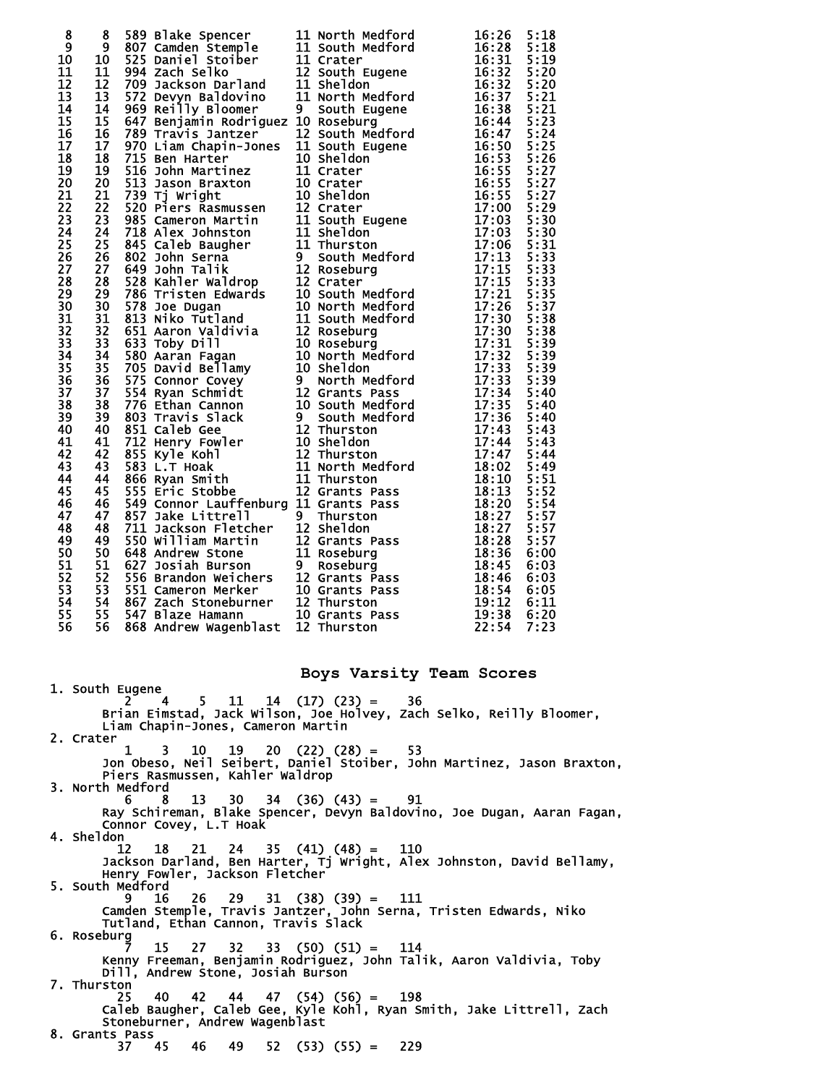| 8<br>$\overline{9}$<br>10<br>11<br>$\overline{12}$<br>13<br>$\overline{1}4$<br>15<br>16<br>17 <sup>2</sup><br>18<br>19<br>$\overline{20}$<br>21<br>$\frac{2}{2}$<br>23<br>24<br>25<br>26<br>27<br>28<br>29 | 8<br>9<br>10 <sup>2</sup><br>11<br>$\overline{1}2$<br>13<br>14<br>15<br>16<br>17<br>18<br>19<br>20<br>21<br>22<br>$\overline{2}\overline{3}$<br>24<br>25<br>$\overline{26}$<br>27<br>28<br>29 |  | 589 Blake Spencer<br>1897 Camdel Stoiber 11 North Medford<br>1625 Daniel Stoiber 11 Crater House<br>1625 Daniel Stoiber 11 Crater<br>1623 Daniel Stoiber 11 Crater<br>1623 Daniel Stoiber 11 Crater<br>1623 Alex Daniel II Sheldon<br>16332 | 5:18<br>5:18<br>5:19<br>5:20<br>5:20<br>5:21<br>5:21<br>5:23<br>5:24<br>5:25<br>5:26<br>5:27<br>5:27<br>5:27<br>5:29<br>5:30<br>5:30<br>5:31<br>5:33<br>5:33<br>5:33<br>5:35 |
|------------------------------------------------------------------------------------------------------------------------------------------------------------------------------------------------------------|-----------------------------------------------------------------------------------------------------------------------------------------------------------------------------------------------|--|---------------------------------------------------------------------------------------------------------------------------------------------------------------------------------------------------------------------------------------------|------------------------------------------------------------------------------------------------------------------------------------------------------------------------------|
| 31<br>$\overline{3}2$                                                                                                                                                                                      | $\overline{31}$<br>$\overline{32}$                                                                                                                                                            |  |                                                                                                                                                                                                                                             | 5:38<br>5:38                                                                                                                                                                 |
| $\overline{3}3$                                                                                                                                                                                            | $\overline{3}3$                                                                                                                                                                               |  |                                                                                                                                                                                                                                             | 5:39                                                                                                                                                                         |
| 34                                                                                                                                                                                                         | 34                                                                                                                                                                                            |  |                                                                                                                                                                                                                                             | 5:39                                                                                                                                                                         |
| 35                                                                                                                                                                                                         | $\overline{35}$                                                                                                                                                                               |  |                                                                                                                                                                                                                                             | 5:39                                                                                                                                                                         |
| 36                                                                                                                                                                                                         | $\overline{36}$                                                                                                                                                                               |  |                                                                                                                                                                                                                                             | 5:39                                                                                                                                                                         |
| $\overline{37}$                                                                                                                                                                                            | $\overline{37}$                                                                                                                                                                               |  |                                                                                                                                                                                                                                             | 5:40                                                                                                                                                                         |
| 38                                                                                                                                                                                                         | 38                                                                                                                                                                                            |  |                                                                                                                                                                                                                                             | 5:40                                                                                                                                                                         |
| 39<br>40                                                                                                                                                                                                   | 39<br>40                                                                                                                                                                                      |  |                                                                                                                                                                                                                                             | 5:40<br>5:43                                                                                                                                                                 |
| 41                                                                                                                                                                                                         | 41                                                                                                                                                                                            |  |                                                                                                                                                                                                                                             | 5:43                                                                                                                                                                         |
| 42                                                                                                                                                                                                         | 42                                                                                                                                                                                            |  |                                                                                                                                                                                                                                             | 5:44                                                                                                                                                                         |
| 43                                                                                                                                                                                                         | 43                                                                                                                                                                                            |  |                                                                                                                                                                                                                                             | 5:49                                                                                                                                                                         |
| 44                                                                                                                                                                                                         | 44                                                                                                                                                                                            |  |                                                                                                                                                                                                                                             | 5:51                                                                                                                                                                         |
| 45                                                                                                                                                                                                         | 45                                                                                                                                                                                            |  |                                                                                                                                                                                                                                             | 5:52                                                                                                                                                                         |
| 46                                                                                                                                                                                                         | 46                                                                                                                                                                                            |  |                                                                                                                                                                                                                                             | 5:54                                                                                                                                                                         |
| 47<br>48                                                                                                                                                                                                   | 47<br>48                                                                                                                                                                                      |  |                                                                                                                                                                                                                                             | 5:57<br>5:57                                                                                                                                                                 |
| 49                                                                                                                                                                                                         | 49                                                                                                                                                                                            |  |                                                                                                                                                                                                                                             | 5:57                                                                                                                                                                         |
| 50                                                                                                                                                                                                         | 50                                                                                                                                                                                            |  |                                                                                                                                                                                                                                             | 6:00                                                                                                                                                                         |
| 51                                                                                                                                                                                                         | 51                                                                                                                                                                                            |  |                                                                                                                                                                                                                                             | 6:03                                                                                                                                                                         |
| 52                                                                                                                                                                                                         | $\frac{52}{53}$                                                                                                                                                                               |  |                                                                                                                                                                                                                                             | 6:03                                                                                                                                                                         |
| 53                                                                                                                                                                                                         |                                                                                                                                                                                               |  |                                                                                                                                                                                                                                             | 6:05                                                                                                                                                                         |
| 54                                                                                                                                                                                                         | 54                                                                                                                                                                                            |  |                                                                                                                                                                                                                                             | 6:11                                                                                                                                                                         |
| 55<br>56                                                                                                                                                                                                   | 55<br>56                                                                                                                                                                                      |  |                                                                                                                                                                                                                                             | 6:20<br>7:23                                                                                                                                                                 |
|                                                                                                                                                                                                            |                                                                                                                                                                                               |  |                                                                                                                                                                                                                                             |                                                                                                                                                                              |

## **Boys Varsity Team Scores**

 1. South Eugene 2 4 5 11 14 (17) (23) = 36 Brian Eimstad, Jack Wilson, Joe Holvey, Zach Selko, Reilly Bloomer, Liam Chapin-Jones, Cameron Martin 2. Crater 1 3 10 19 20 (22) (28) = 53 Jon Obeso, Neil Seibert, Daniel Stoiber, John Martinez, Jason Braxton, Piers Rasmussen, Kahler Waldrop 3. North Medford  $6 \t 8 \t 13 \t 30 \t 34 \t (36) \t (43) = 91$  Ray Schireman, Blake Spencer, Devyn Baldovino, Joe Dugan, Aaran Fagan, Connor Covey, L.T Hoak 4. Sheldon 12 18 21 24 35 (41) (48) = 110 Jackson Darland, Ben Harter, Tj Wright, Alex Johnston, David Bellamy, Henry Fowler, Jackson Fletcher 5. South Medford 9 16 26 29 31 (38) (39) = 111 Camden Stemple, Travis Jantzer, John Serna, Tristen Edwards, Niko Tutland, Ethan Cannon, Travis Slack 6. Roseburg 7 15 27 32 33 (50) (51) = 114 Kenny Freeman, Benjamin Rodriguez, John Talik, Aaron Valdivia, Toby Dill, Andrew Stone, Josiah Burson 7. Thurston 25 40 42 44 47 (54) (56) = 198 Caleb Baugher, Caleb Gee, Kyle Kohl, Ryan Smith, Jake Littrell, Zach Stoneburner, Andrew Wagenblast 8. Grants Pass<br>37 45 37 45 46 49 52 (53) (55) = 229